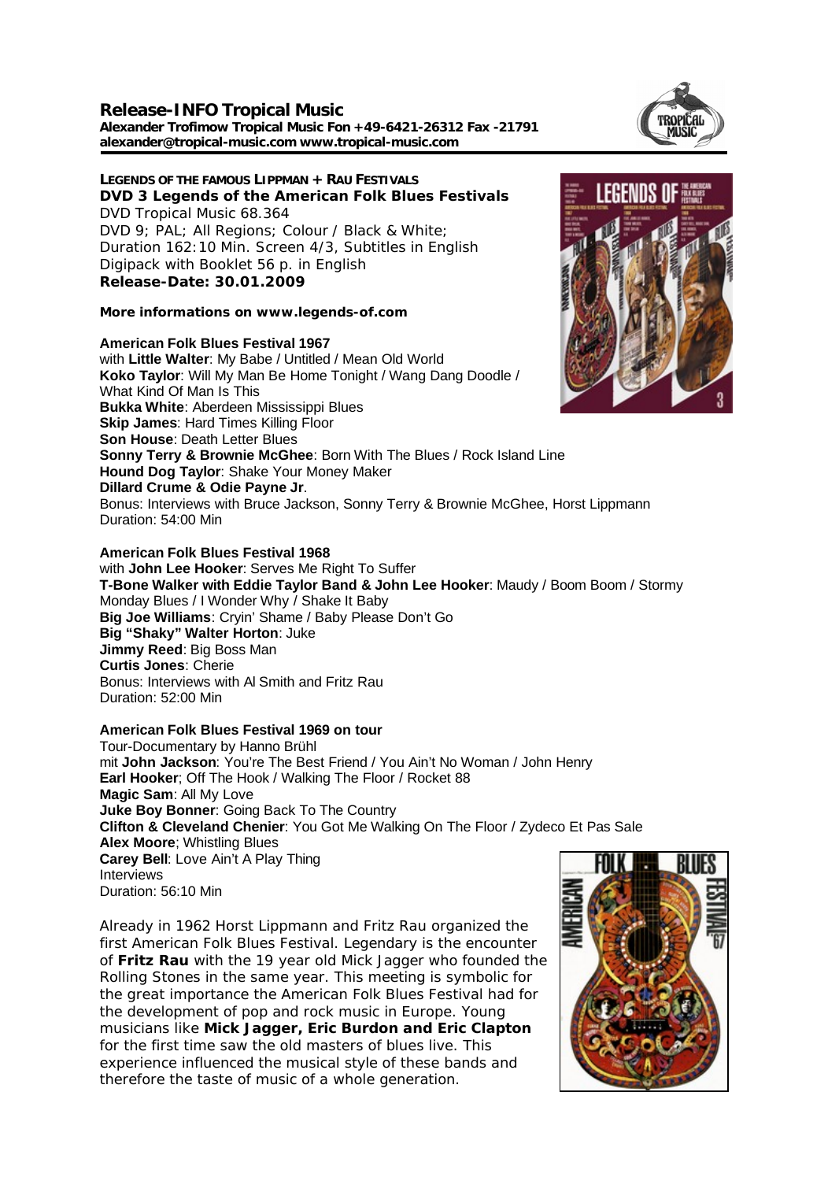**Release-INFO Tropical Music Alexander Trofimow Tropical Music Fon +49-6421-26312 Fax -21791 alexander@tropical-music.com www.tropical-music.com** 

**LEGENDS OF THE FAMOUS LIPPMAN + RAU FESTIVALS DVD 3 Legends of the American Folk Blues Festivals** DVD Tropical Music 68.364 DVD 9; PAL; All Regions; Colour / Black & White; Duration 162:10 Min. Screen 4/3, Subtitles in English Digipack with Booklet 56 p. in English **Release-Date: 30.01.2009**

**More informations on www.legends-of.com**

## **American Folk Blues Festival 1967**

with **Little Walter**: My Babe / Untitled / Mean Old World **Koko Taylor**: Will My Man Be Home Tonight / Wang Dang Doodle / What Kind Of Man Is This **Bukka White**: Aberdeen Mississippi Blues **Skip James: Hard Times Killing Floor Son House**: Death Letter Blues **Sonny Terry & Brownie McGhee**: Born With The Blues / Rock Island Line **Hound Dog Taylor**: Shake Your Money Maker **Dillard Crume & Odie Payne Jr**. Bonus: Interviews with Bruce Jackson, Sonny Terry & Brownie McGhee, Horst Lippmann Duration: 54:00 Min

with **John Lee Hooker**: Serves Me Right To Suffer **T-Bone Walker with Eddie Taylor Band & John Lee Hooker**: Maudy / Boom Boom / Stormy Monday Blues / I Wonder Why / Shake It Baby **Big Joe Williams**: Cryin' Shame / Baby Please Don't Go **Big "Shaky" Walter Horton**: Juke **Jimmy Reed**: Big Boss Man **Curtis Jones**: Cherie Bonus: Interviews with Al Smith and Fritz Rau Duration: 52:00 Min

## **American Folk Blues Festival 1969 on tour**

Tour-Documentary by Hanno Brühl mit **John Jackson**: You're The Best Friend / You Ain't No Woman / John Henry **Earl Hooker**; Off The Hook / Walking The Floor / Rocket 88 **Magic Sam**: All My Love **Juke Boy Bonner**: Going Back To The Country **Clifton & Cleveland Chenier**: You Got Me Walking On The Floor / Zydeco Et Pas Sale **Alex Moore**; Whistling Blues **Carey Bell**: Love Ain't A Play Thing Interviews Duration: 56:10 Min

Already in 1962 Horst Lippmann and Fritz Rau organized the first American Folk Blues Festival. Legendary is the encounter of **Fritz Rau** with the 19 year old Mick Jagger who founded the Rolling Stones in the same year. This meeting is symbolic for the great importance the American Folk Blues Festival had for the development of pop and rock music in Europe. Young musicians like **Mick Jagger, Eric Burdon and Eric Clapton** for the first time saw the old masters of blues live. This experience influenced the musical style of these bands and therefore the taste of music of a whole generation.







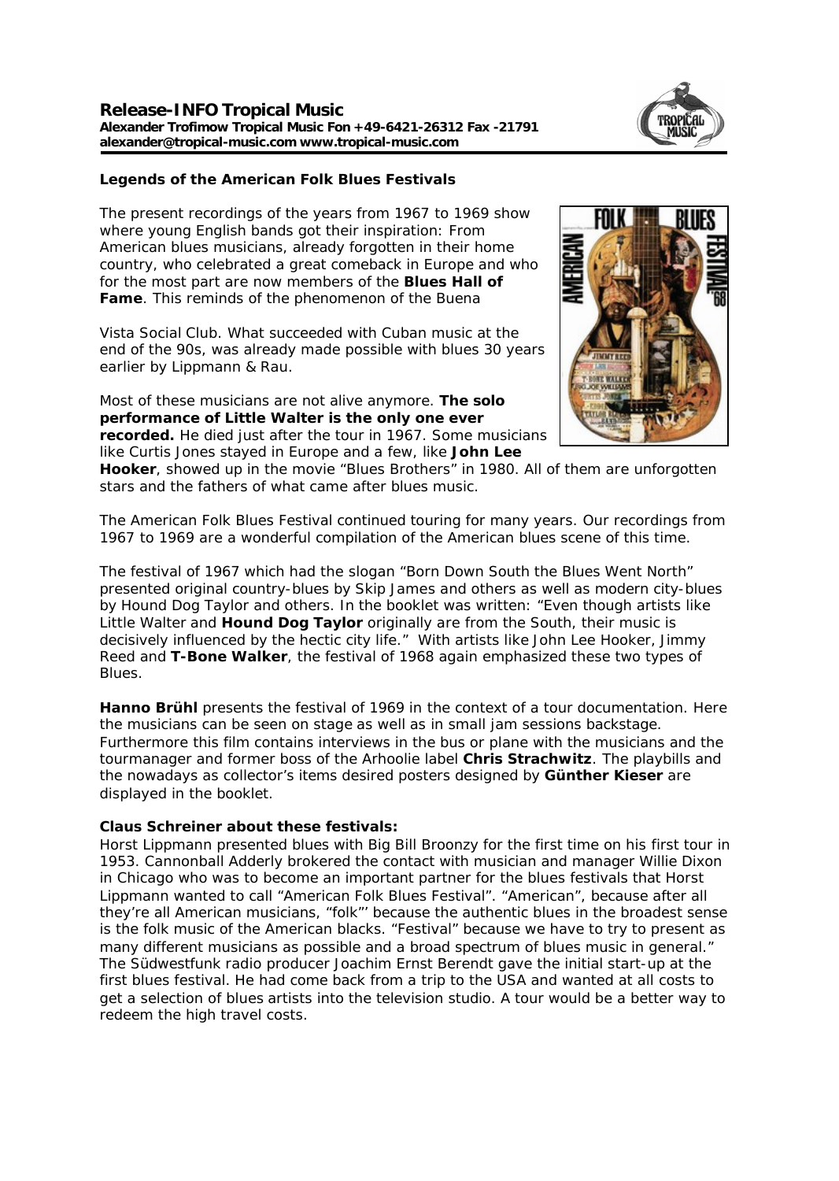

**Legends of the American Folk Blues Festivals**

The present recordings of the years from 1967 to 1969 show where young English bands got their inspiration: From American blues musicians, already forgotten in their home country, who celebrated a great comeback in Europe and who for the most part are now members of the **Blues Hall of Fame**. This reminds of the phenomenon of the Buena

Vista Social Club. What succeeded with Cuban music at the end of the 90s, was already made possible with blues 30 years earlier by Lippmann & Rau.

Most of these musicians are not alive anymore. **The solo performance of Little Walter is the only one ever recorded.** He died just after the tour in 1967. Some musicians like Curtis Jones stayed in Europe and a few, like **John Lee** 



**Hooker**, showed up in the movie "Blues Brothers" in 1980. All of them are unforgotten stars and the fathers of what came after blues music.

The American Folk Blues Festival continued touring for many years. Our recordings from 1967 to 1969 are a wonderful compilation of the American blues scene of this time.

The festival of 1967 which had the slogan "Born Down South the Blues Went North" presented original country-blues by Skip James and others as well as modern city-blues by Hound Dog Taylor and others. In the booklet was written: "Even though artists like Little Walter and **Hound Dog Taylor** originally are from the South, their music is decisively influenced by the hectic city life." With artists like John Lee Hooker, Jimmy Reed and **T-Bone Walker**, the festival of 1968 again emphasized these two types of Blues.

**Hanno Brühl** presents the festival of 1969 in the context of a tour documentation. Here the musicians can be seen on stage as well as in small jam sessions backstage. Furthermore this film contains interviews in the bus or plane with the musicians and the tourmanager and former boss of the Arhoolie label **Chris Strachwitz**. The playbills and the nowadays as collector's items desired posters designed by **Günther Kieser** are displayed in the booklet.

**Claus Schreiner about these festivals:**

Horst Lippmann presented blues with Big Bill Broonzy for the first time on his first tour in 1953. Cannonball Adderly brokered the contact with musician and manager Willie Dixon in Chicago who was to become an important partner for the blues festivals that Horst Lippmann wanted to call "American Folk Blues Festival". "American", because after all they're all American musicians, "folk"' because the authentic blues in the broadest sense is the folk music of the American blacks. "Festival" because we have to try to present as many different musicians as possible and a broad spectrum of blues music in general." The Südwestfunk radio producer Joachim Ernst Berendt gave the initial start-up at the first blues festival. He had come back from a trip to the USA and wanted at all costs to get a selection of blues artists into the television studio. A tour would be a better way to redeem the high travel costs.